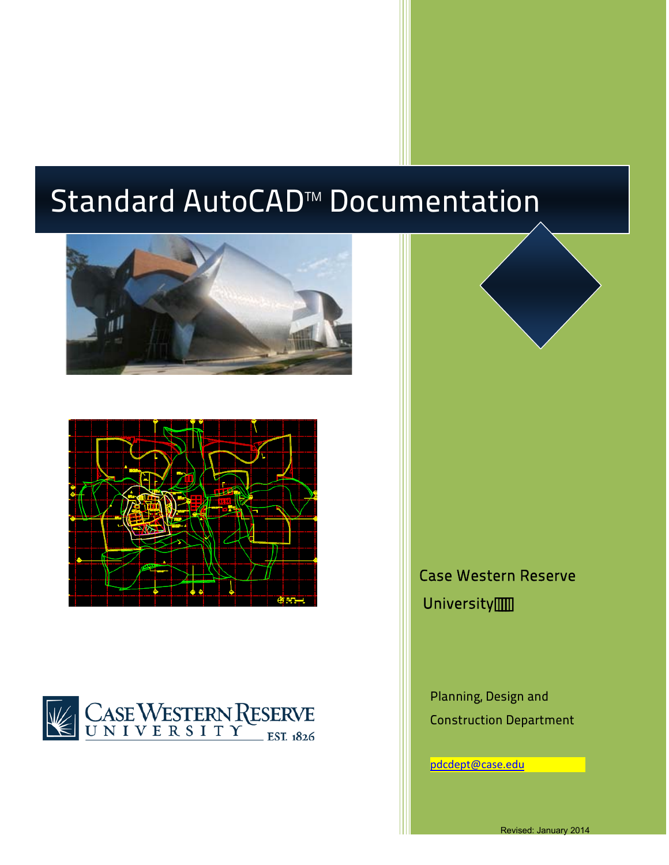# Standard AutoCAD™ Documentation









Case Western Reserve University<sup>....</sup>

Planning, Design and Construction Department

pdcdept[@case.edu](mailto:pdcdept@case.edu)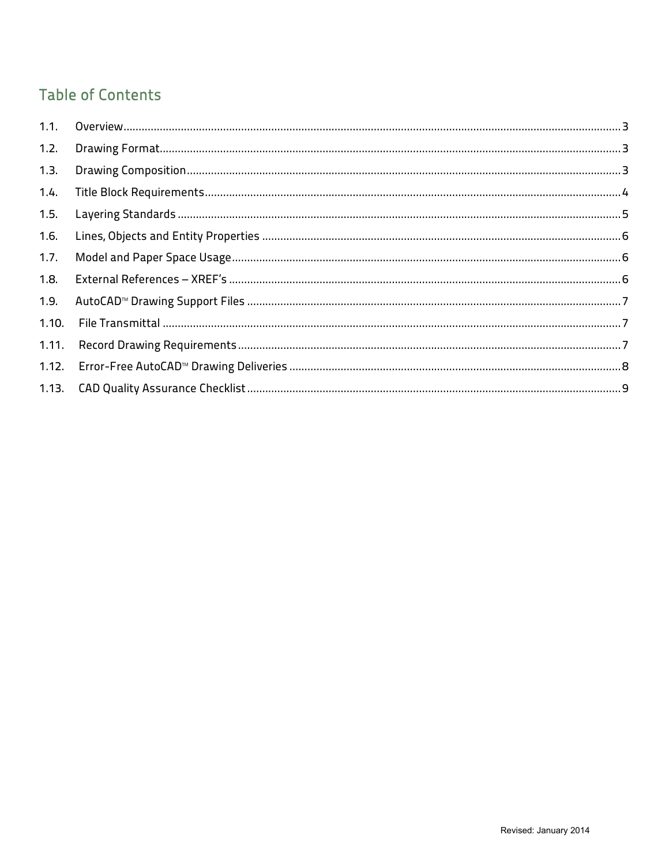## **Table of Contents**

| 1.2.  |  |
|-------|--|
| 1.3.  |  |
| 1.4.  |  |
| 1.5.  |  |
| 1.6.  |  |
| 1.7.  |  |
| 1.8.  |  |
| 1.9.  |  |
| 1.10. |  |
| 1.11. |  |
|       |  |
|       |  |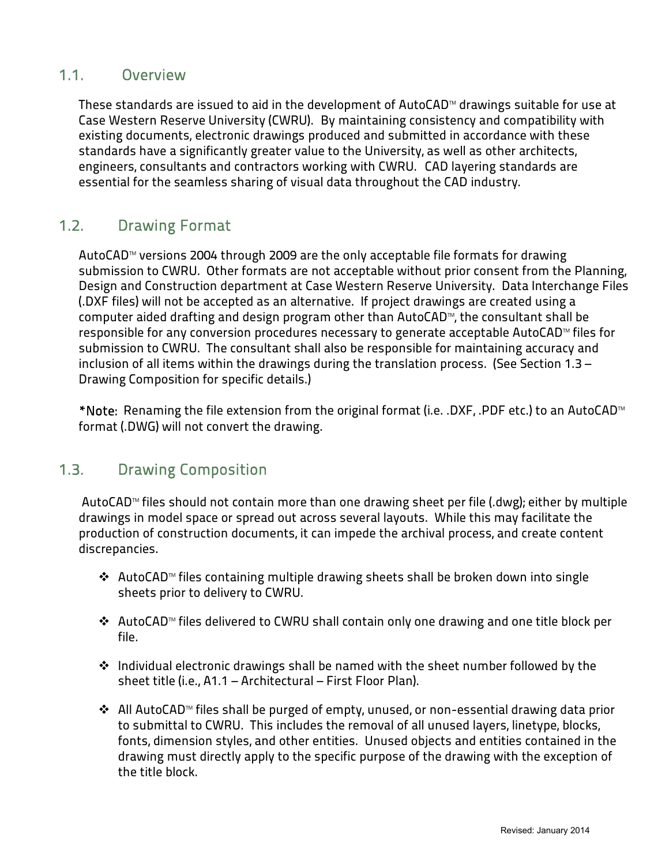#### <span id="page-2-0"></span>1.1. Overview

These standards are issued to aid in the development of AutoCAD™ drawings suitable for use at Case Western Reserve University (CWRU). By maintaining consistency and compatibility with existing documents, electronic drawings produced and submitted in accordance with these standards have a significantly greater value to the University, as well as other architects, engineers, consultants and contractors working with CWRU. CAD layering standards are essential for the seamless sharing of visual data throughout the CAD industry.

#### <span id="page-2-1"></span>1.2. Drawing Format

AutoCAD™ versions 2004 through 2009 are the only acceptable file formats for drawing submission to CWRU. Other formats are not acceptable without prior consent from the Planning, Design and Construction department at Case Western Reserve University. Data Interchange Files (.DXF files) will not be accepted as an alternative. If project drawings are created using a computer aided drafting and design program other than AutoCAD™, the consultant shall be responsible for any conversion procedures necessary to generate acceptable AutoCAD™ files for submission to CWRU. The consultant shall also be responsible for maintaining accuracy and inclusion of all items within the drawings during the translation process. (See Section 1.3 – Drawing Composition for specific details.)

\*Note: Renaming the file extension from the original format (i.e. .DXF, .PDF etc.) to an AutoCAD™ format (.DWG) will not convert the drawing.

## <span id="page-2-2"></span>1.3. Drawing Composition

AutoCAD™ files should not contain more than one drawing sheet per file (.dwg); either by multiple drawings in model space or spread out across several layouts. While this may facilitate the production of construction documents, it can impede the archival process, and create content discrepancies.

- AutoCAD™ files containing multiple drawing sheets shall be broken down into single sheets prior to delivery to CWRU.
- AutoCAD™ files delivered to CWRU shall contain only one drawing and one title block per file.
- ◆ Individual electronic drawings shall be named with the sheet number followed by the sheet title (i.e., A1.1 – Architectural – First Floor Plan).
- All AutoCAD™ files shall be purged of empty, unused, or non-essential drawing data prior to submittal to CWRU. This includes the removal of all unused layers, linetype, blocks, fonts, dimension styles, and other entities. Unused objects and entities contained in the drawing must directly apply to the specific purpose of the drawing with the exception of the title block.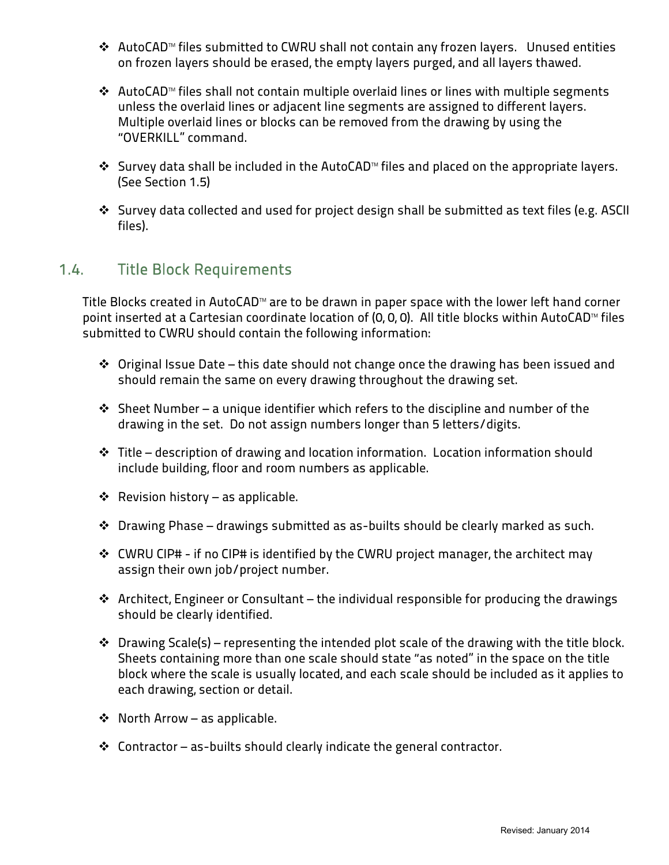- AutoCAD™ files submitted to CWRU shall not contain any frozen layers. Unused entities on frozen layers should be erased, the empty layers purged, and all layers thawed.
- AutoCAD™ files shall not contain multiple overlaid lines or lines with multiple segments unless the overlaid lines or adjacent line segments are assigned to different layers. Multiple overlaid lines or blocks can be removed from the drawing by using the "OVERKILL" command.
- Survey data shall be included in the AutoCAD™ files and placed on the appropriate layers. (See Section 1.5)
- Survey data collected and used for project design shall be submitted as text files (e.g. ASCII files).

## <span id="page-3-0"></span>1.4. Title Block Requirements

Title Blocks created in AutoCAD™ are to be drawn in paper space with the lower left hand corner point inserted at a Cartesian coordinate location of (0, 0, 0). All title blocks within AutoCAD™ files submitted to CWRU should contain the following information:

- $\cdot$  Original Issue Date this date should not change once the drawing has been issued and should remain the same on every drawing throughout the drawing set.
- $\cdot$  Sheet Number a unique identifier which refers to the discipline and number of the drawing in the set. Do not assign numbers longer than 5 letters/digits.
- Title description of drawing and location information. Location information should include building, floor and room numbers as applicable.
- $\triangleleft$  Revision history as applicable.
- Drawing Phase drawings submitted as as-builts should be clearly marked as such.
- CWRU CIP# if no CIP# is identified by the CWRU project manager, the architect may assign their own job/project number.
- Architect, Engineer or Consultant the individual responsible for producing the drawings should be clearly identified.
- $\cdot \cdot$  Drawing Scale(s) representing the intended plot scale of the drawing with the title block. Sheets containing more than one scale should state "as noted" in the space on the title block where the scale is usually located, and each scale should be included as it applies to each drawing, section or detail.
- ◆ North Arrow as applicable.
- $\cdot$  Contractor as-builts should clearly indicate the general contractor.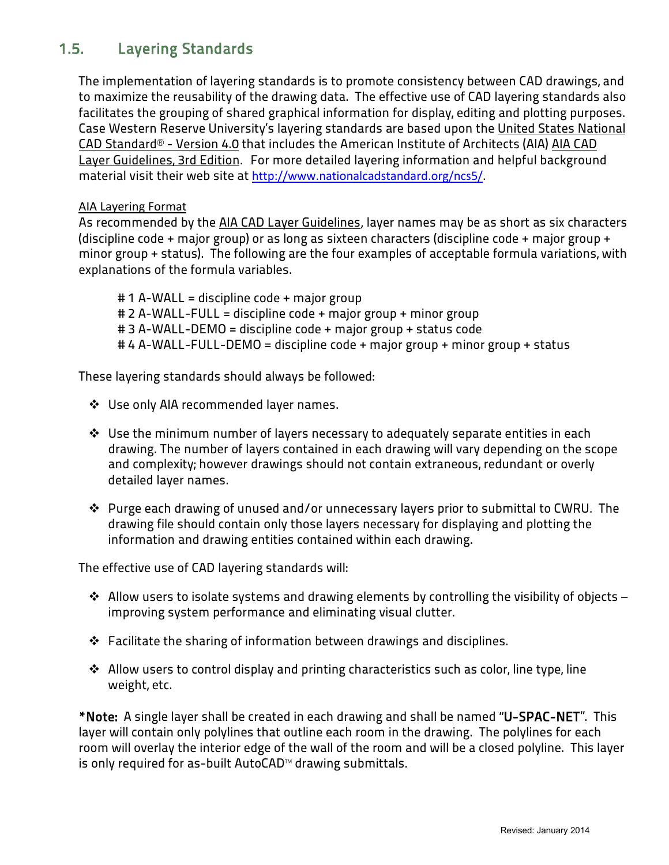## <span id="page-4-0"></span>1.5. Layering Standards

The implementation of layering standards is to promote consistency between CAD drawings, and to maximize the reusability of the drawing data. The effective use of CAD layering standards also facilitates the grouping of shared graphical information for display, editing and plotting purposes. Case Western Reserve University's layering standards are based upon the United States National CAD Standard® - Version 4.0 that includes the American Institute of Architects (AIA) AIA CAD Layer Guidelines, 3rd Edition. For more detailed layering information and helpful background material visit their web site at <http://www.nationalcadstandard.org/ncs5/>.

#### AIA Layering Format

As recommended by the AIA CAD Layer Guidelines, layer names may be as short as six characters (discipline code + major group) or as long as sixteen characters (discipline code + major group + minor group + status). The following are the four examples of acceptable formula variations, with explanations of the formula variables.

# 1 A-WALL = discipline code + major group # 2 A-WALL-FULL = discipline code + major group + minor group # 3 A-WALL-DEMO = discipline code + major group + status code # 4 A-WALL-FULL-DEMO = discipline code + major group + minor group + status

These layering standards should always be followed:

- ❖ Use only AIA recommended layer names.
- Use the minimum number of layers necessary to adequately separate entities in each drawing. The number of layers contained in each drawing will vary depending on the scope and complexity; however drawings should not contain extraneous, redundant or overly detailed layer names.
- Purge each drawing of unused and/or unnecessary layers prior to submittal to CWRU. The drawing file should contain only those layers necessary for displaying and plotting the information and drawing entities contained within each drawing.

The effective use of CAD layering standards will:

- $\cdot$  Allow users to isolate systems and drawing elements by controlling the visibility of objects improving system performance and eliminating visual clutter.
- $\hat{\mathbf{v}}$  Facilitate the sharing of information between drawings and disciplines.
- Allow users to control display and printing characteristics such as color, line type, line weight, etc.

\*Note: A single layer shall be created in each drawing and shall be named "U-SPAC-NET". This layer will contain only polylines that outline each room in the drawing. The polylines for each room will overlay the interior edge of the wall of the room and will be a closed polyline. This layer is only required for as-built AutoCAD™ drawing submittals.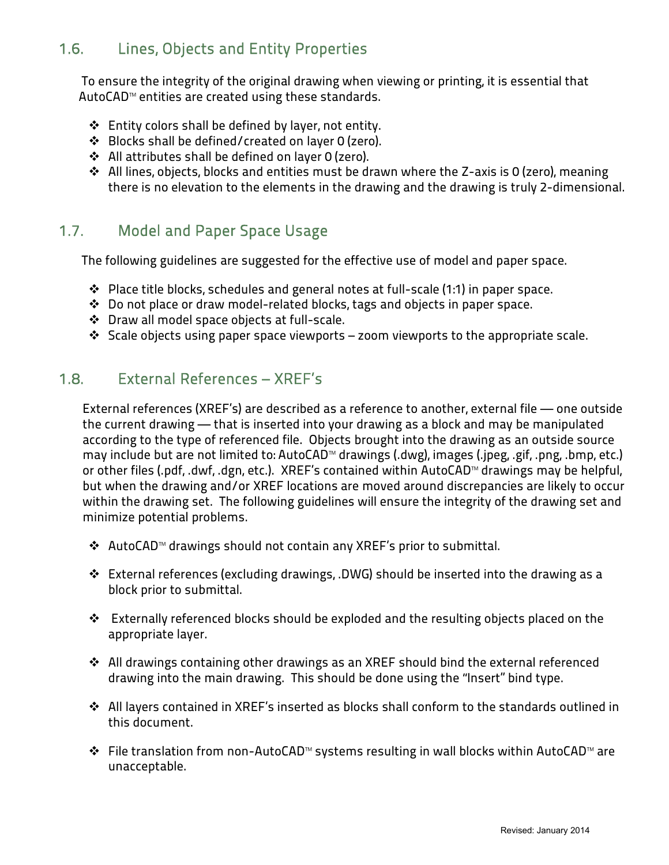## <span id="page-5-0"></span>1.6. Lines, Objects and Entity Properties

To ensure the integrity of the original drawing when viewing or printing, it is essential that AutoCAD™ entities are created using these standards.

- $\div$  Entity colors shall be defined by layer, not entity.
- Blocks shall be defined/created on layer 0 (zero).
- All attributes shall be defined on layer 0 (zero).
- All lines, objects, blocks and entities must be drawn where the Z-axis is 0 (zero), meaning there is no elevation to the elements in the drawing and the drawing is truly 2-dimensional.

#### <span id="page-5-1"></span>1.7. Model and Paper Space Usage

The following guidelines are suggested for the effective use of model and paper space.

- Place title blocks, schedules and general notes at full-scale (1:1) in paper space.
- Do not place or draw model-related blocks, tags and objects in paper space.
- Draw all model space objects at full-scale.
- $\cdot$  Scale objects using paper space viewports zoom viewports to the appropriate scale.

#### <span id="page-5-2"></span>1.8. External References – XREF's

External references (XREF's) are described as a reference to another, external file — one outside the current drawing — that is inserted into your drawing as a block and may be manipulated according to the type of referenced file. Objects brought into the drawing as an outside source may include but are not limited to: AutoCAD™ drawings (.dwg), images (.jpeg, .gif, .png, .bmp, etc.) or other files (.pdf, .dwf, .dgn, etc.). XREF's contained within AutoCAD™ drawings may be helpful, but when the drawing and/or XREF locations are moved around discrepancies are likely to occur within the drawing set. The following guidelines will ensure the integrity of the drawing set and minimize potential problems.

- AutoCAD™ drawings should not contain any XREF's prior to submittal.
- $\hat{\mathbf{v}}$  External references (excluding drawings, .DWG) should be inserted into the drawing as a block prior to submittal.
- Externally referenced blocks should be exploded and the resulting objects placed on the appropriate layer.
- All drawings containing other drawings as an XREF should bind the external referenced drawing into the main drawing. This should be done using the "Insert" bind type.
- All layers contained in XREF's inserted as blocks shall conform to the standards outlined in this document.
- File translation from non-AutoCAD™ systems resulting in wall blocks within AutoCAD™ are unacceptable.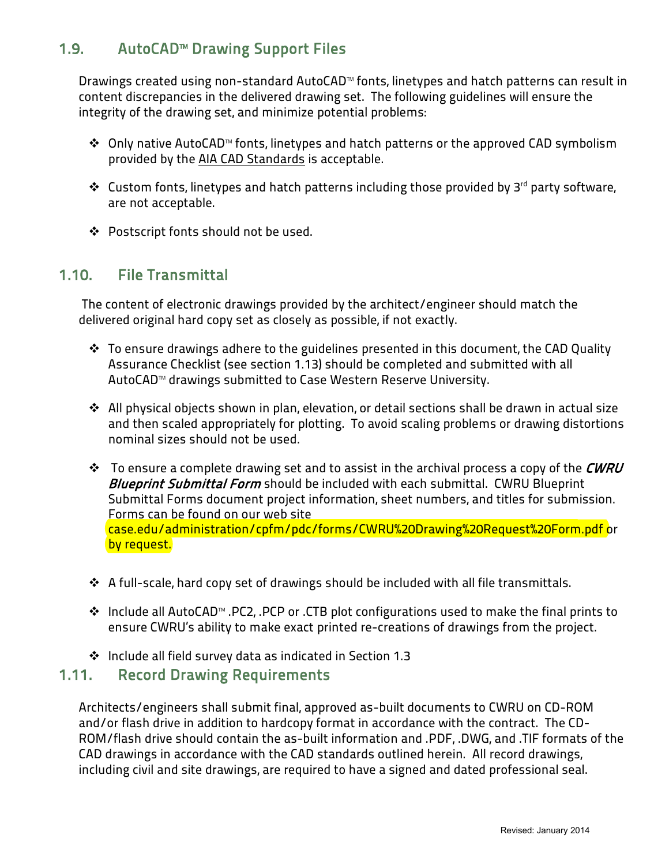## <span id="page-6-0"></span>1.9. AutoCAD™ Drawing Support Files

Drawings created using non-standard AutoCAD™ fonts, linetypes and hatch patterns can result in content discrepancies in the delivered drawing set. The following guidelines will ensure the integrity of the drawing set, and minimize potential problems:

- Only native AutoCAD™ fonts, linetypes and hatch patterns or the approved CAD symbolism provided by the AIA CAD Standards is acceptable.
- $\mathbf{\hat{P}}$  Custom fonts, linetypes and hatch patterns including those provided by 3<sup>rd</sup> party software, are not acceptable.
- ◆ Postscript fonts should not be used.

#### <span id="page-6-1"></span>1.10. File Transmittal

The content of electronic drawings provided by the architect/engineer should match the delivered original hard copy set as closely as possible, if not exactly.

- To ensure drawings adhere to the guidelines presented in this document, the CAD Quality Assurance Checklist (see section 1.13) should be completed and submitted with all AutoCAD™ drawings submitted to Case Western Reserve University.
- All physical objects shown in plan, elevation, or detail sections shall be drawn in actual size and then scaled appropriately for plotting. To avoid scaling problems or drawing distortions nominal sizes should not be used.
- $\cdot \cdot$  To ensure a complete drawing set and to assist in the archival process a copy of the CWRU **Blueprint Submittal Form** should be included with each submittal. CWRU Blueprint Submittal Forms document project information, sheet numbers, and titles for submission. Forms can be found on our web site [case.edu/administration/cpfm/pdc/forms/CWRU%20Drawing%20Request%20Form.pdf](http://case.edu/administration/cpfm/pdc/forms/CWRU%20Drawing%20Request%20Form.pdf) or by request.
- A full-scale, hard copy set of drawings should be included with all file transmittals.
- Include all AutoCAD™ .PC2, .PCP or .CTB plot configurations used to make the final prints to ensure CWRU's ability to make exact printed re-creations of drawings from the project.
- Include all field survey data as indicated in Section 1.3

#### <span id="page-6-2"></span>1.11. Record Drawing Requirements

Architects/engineers shall submit final, approved as-built documents to CWRU on CD-ROM and/or flash drive in addition to hardcopy format in accordance with the contract. The CD-ROM/flash drive should contain the as-built information and .PDF, .DWG, and .TIF formats of the CAD drawings in accordance with the CAD standards outlined herein. All record drawings, including civil and site drawings, are required to have a signed and dated professional seal.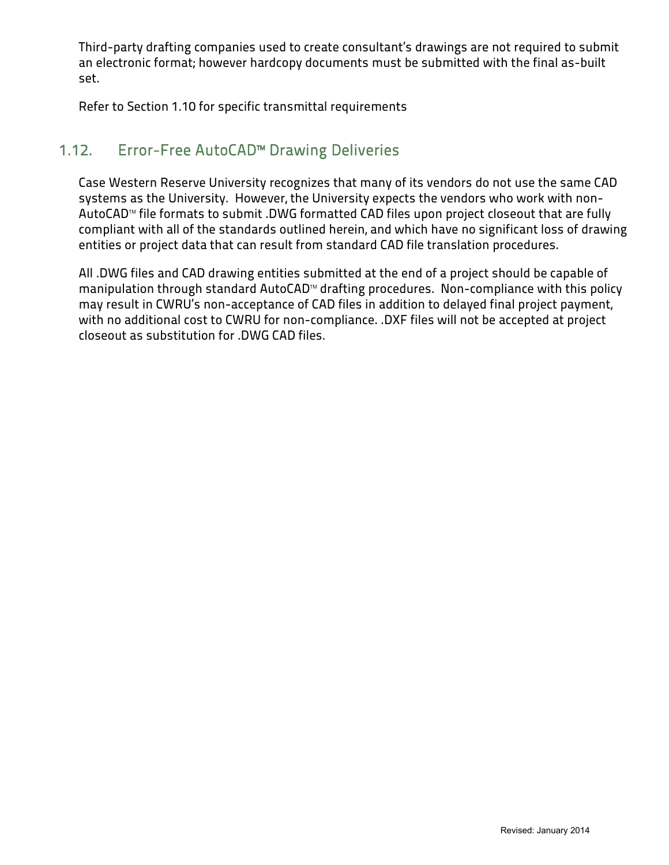Third-party drafting companies used to create consultant's drawings are not required to submit an electronic format; however hardcopy documents must be submitted with the final as-built set.

Refer to Section 1.10 for specific transmittal requirements

## <span id="page-7-0"></span>1.12. Error-Free AutoCAD™ Drawing Deliveries

Case Western Reserve University recognizes that many of its vendors do not use the same CAD systems as the University. However, the University expects the vendors who work with non-AutoCAD™ file formats to submit .DWG formatted CAD files upon project closeout that are fully compliant with all of the standards outlined herein, and which have no significant loss of drawing entities or project data that can result from standard CAD file translation procedures.

All .DWG files and CAD drawing entities submitted at the end of a project should be capable of manipulation through standard AutoCAD™ drafting procedures. Non-compliance with this policy may result in CWRU's non-acceptance of CAD files in addition to delayed final project payment, with no additional cost to CWRU for non-compliance. .DXF files will not be accepted at project closeout as substitution for .DWG CAD files.